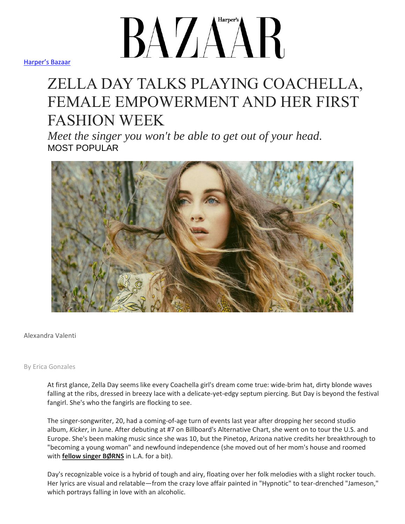

Harper['s Bazaar](http://www.harpersbazaar.com/culture/art-books-music/a13787/zella-day-interview/)

# ZELLA DAY TALKS PLAYING COACHELLA, FEMALE EMPOWERMENT AND HER FIRST FASHION WEEK

*Meet the singer you won't be able to get out of your head.* MOST POPULAR



Alexandra Valenti

#### By Erica Gonzales

At first glance, Zella Day seems like every Coachella girl's dream come true: wide-brim hat, dirty blonde waves falling at the ribs, dressed in breezy lace with a delicate-yet-edgy septum piercing. But Day is beyond the festival fangirl. She's who the fangirls are flocking to see.

The singer-songwriter, 20, had a coming-of-age turn of events last year after dropping her second studio album, *Kicker*, in June. After debuting at #7 on Billboard's Alternative Chart, she went on to tour the U.S. and Europe. She's been making music since she was 10, but the Pinetop, Arizona native credits her breakthrough to "becoming a young woman" and newfound independence (she moved out of her mom's house and roomed with **[fellow singer BØRNS](http://www.harpersbazaar.com/culture/art-books-music/a12565/borns-interview/)** in L.A. for a bit).

Day's recognizable voice is a hybrid of tough and airy, floating over her folk melodies with a slight rocker touch. Her lyrics are visual and relatable—from the crazy love affair painted in "Hypnotic" to tear-drenched "Jameson," which portrays falling in love with an alcoholic.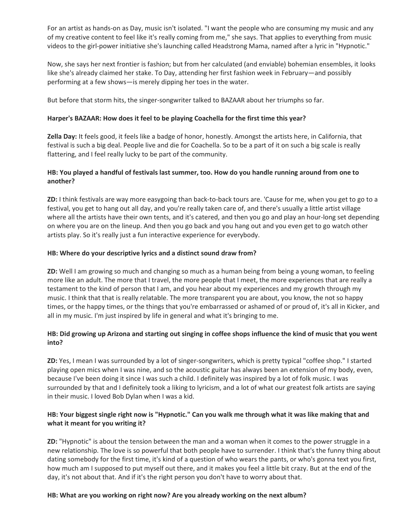For an artist as hands-on as Day, music isn't isolated. "I want the people who are consuming my music and any of my creative content to feel like it's really coming from me," she says. That applies to everything from music videos to the girl-power initiative she's launching called Headstrong Mama, named after a lyric in "Hypnotic."

Now, she says her next frontier is fashion; but from her calculated (and enviable) bohemian ensembles, it looks like she's already claimed her stake. To Day, attending her first fashion week in February—and possibly performing at a few shows—is merely dipping her toes in the water.

But before that storm hits, the singer-songwriter talked to BAZAAR about her triumphs so far.

## **Harper's BAZAAR: How does it feel to be playing Coachella for the first time this year?**

**Zella Day:** It feels good, it feels like a badge of honor, honestly. Amongst the artists here, in California, that festival is such a big deal. People live and die for Coachella. So to be a part of it on such a big scale is really flattering, and I feel really lucky to be part of the community.

## **HB: You played a handful of festivals last summer, too. How do you handle running around from one to another?**

**ZD:** I think festivals are way more easygoing than back-to-back tours are. 'Cause for me, when you get to go to a festival, you get to hang out all day, and you're really taken care of, and there's usually a little artist village where all the artists have their own tents, and it's catered, and then you go and play an hour-long set depending on where you are on the lineup. And then you go back and you hang out and you even get to go watch other artists play. So it's really just a fun interactive experience for everybody.

#### **HB: Where do your descriptive lyrics and a distinct sound draw from?**

**ZD:** Well I am growing so much and changing so much as a human being from being a young woman, to feeling more like an adult. The more that I travel, the more people that I meet, the more experiences that are really a testament to the kind of person that I am, and you hear about my experiences and my growth through my music. I think that that is really relatable. The more transparent you are about, you know, the not so happy times, or the happy times, or the things that you're embarrassed or ashamed of or proud of, it's all in Kicker, and all in my music. I'm just inspired by life in general and what it's bringing to me.

# **HB: Did growing up Arizona and starting out singing in coffee shops influence the kind of music that you went into?**

**ZD:** Yes, I mean I was surrounded by a lot of singer-songwriters, which is pretty typical "coffee shop." I started playing open mics when I was nine, and so the acoustic guitar has always been an extension of my body, even, because I've been doing it since I was such a child. I definitely was inspired by a lot of folk music. I was surrounded by that and I definitely took a liking to lyricism, and a lot of what our greatest folk artists are saying in their music. I loved Bob Dylan when I was a kid.

#### **HB: Your biggest single right now is "Hypnotic." Can you walk me through what it was like making that and what it meant for you writing it?**

**ZD:** "Hypnotic" is about the tension between the man and a woman when it comes to the power struggle in a new relationship. The love is so powerful that both people have to surrender. I think that's the funny thing about dating somebody for the first time, it's kind of a question of who wears the pants, or who's gonna text you first, how much am I supposed to put myself out there, and it makes you feel a little bit crazy. But at the end of the day, it's not about that. And if it's the right person you don't have to worry about that.

#### **HB: What are you working on right now? Are you already working on the next album?**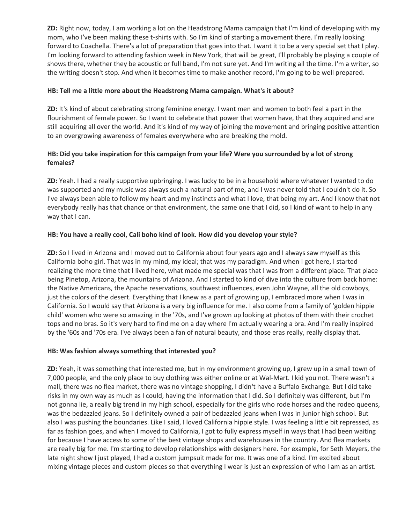**ZD:** Right now, today, I am working a lot on the Headstrong Mama campaign that I'm kind of developing with my mom, who I've been making these t-shirts with. So I'm kind of starting a movement there. I'm really looking forward to Coachella. There's a lot of preparation that goes into that. I want it to be a very special set that I play. I'm looking forward to attending fashion week in New York, that will be great, I'll probably be playing a couple of shows there, whether they be acoustic or full band, I'm not sure yet. And I'm writing all the time. I'm a writer, so the writing doesn't stop. And when it becomes time to make another record, I'm going to be well prepared.

## **HB: Tell me a little more about the Headstrong Mama campaign. What's it about?**

**ZD:** It's kind of about celebrating strong feminine energy. I want men and women to both feel a part in the flourishment of female power. So I want to celebrate that power that women have, that they acquired and are still acquiring all over the world. And it's kind of my way of joining the movement and bringing positive attention to an overgrowing awareness of females everywhere who are breaking the mold.

# **HB: Did you take inspiration for this campaign from your life? Were you surrounded by a lot of strong females?**

**ZD:** Yeah. I had a really supportive upbringing. I was lucky to be in a household where whatever I wanted to do was supported and my music was always such a natural part of me, and I was never told that I couldn't do it. So I've always been able to follow my heart and my instincts and what I love, that being my art. And I know that not everybody really has that chance or that environment, the same one that I did, so I kind of want to help in any way that I can.

#### **HB: You have a really cool, Cali boho kind of look. How did you develop your style?**

**ZD:** So I lived in Arizona and I moved out to California about four years ago and I always saw myself as this California boho girl. That was in my mind, my ideal; that was my paradigm. And when I got here, I started realizing the more time that I lived here, what made me special was that I was from a different place. That place being Pinetop, Arizona, the mountains of Arizona. And I started to kind of dive into the culture from back home: the Native Americans, the Apache reservations, southwest influences, even John Wayne, all the old cowboys, just the colors of the desert. Everything that I knew as a part of growing up, I embraced more when I was in California. So I would say that Arizona is a very big influence for me. I also come from a family of 'golden hippie child' women who were so amazing in the '70s, and I've grown up looking at photos of them with their crochet tops and no bras. So it's very hard to find me on a day where I'm actually wearing a bra. And I'm really inspired by the '60s and '70s era. I've always been a fan of natural beauty, and those eras really, really display that.

# **HB: Was fashion always something that interested you?**

**ZD:** Yeah, it was something that interested me, but in my environment growing up, I grew up in a small town of 7,000 people, and the only place to buy clothing was either online or at Wal-Mart. I kid you not. There wasn't a mall, there was no flea market, there was no vintage shopping, I didn't have a Buffalo Exchange. But I did take risks in my own way as much as I could, having the information that I did. So I definitely was different, but I'm not gonna lie, a really big trend in my high school, especially for the girls who rode horses and the rodeo queens, was the bedazzled jeans. So I definitely owned a pair of bedazzled jeans when I was in junior high school. But also I was pushing the boundaries. Like I said, I loved California hippie style. I was feeling a little bit repressed, as far as fashion goes, and when I moved to California, I got to fully express myself in ways that I had been waiting for because I have access to some of the best vintage shops and warehouses in the country. And flea markets are really big for me. I'm starting to develop relationships with designers here. For example, for Seth Meyers, the late night show I just played, I had a custom jumpsuit made for me. It was one of a kind. I'm excited about mixing vintage pieces and custom pieces so that everything I wear is just an expression of who I am as an artist.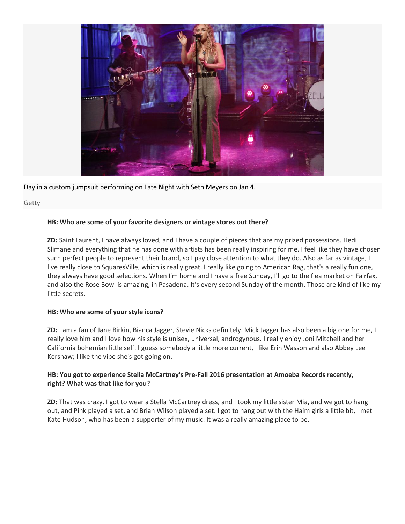

Day in a custom jumpsuit performing on Late Night with Seth Meyers on Jan 4.

Getty

#### **HB: Who are some of your favorite designers or vintage stores out there?**

**ZD:** Saint Laurent, I have always loved, and I have a couple of pieces that are my prized possessions. Hedi Slimane and everything that he has done with artists has been really inspiring for me. I feel like they have chosen such perfect people to represent their brand, so I pay close attention to what they do. Also as far as vintage, I live really close to SquaresVille, which is really great. I really like going to American Rag, that's a really fun one, they always have good selections. When I'm home and I have a free Sunday, I'll go to the flea market on Fairfax, and also the Rose Bowl is amazing, in Pasadena. It's every second Sunday of the month. Those are kind of like my little secrets.

#### **HB: Who are some of your style icons?**

**ZD:** I am a fan of Jane Birkin, Bianca Jagger, Stevie Nicks definitely. Mick Jagger has also been a big one for me, I really love him and I love how his style is unisex, universal, androgynous. I really enjoy Joni Mitchell and her California bohemian little self. I guess somebody a little more current, I like Erin Wasson and also Abbey Lee Kershaw; I like the vibe she's got going on.

# **HB: You got to experience [Stella McCartney's Pre-Fall 2016 presentation](http://www.harpersbazaar.com/celebrity/party-pictures/news/g6713/stella-mccartney-fall-2016-collection-party/) at Amoeba Records recently, right? What was that like for you?**

**ZD:** That was crazy. I got to wear a Stella McCartney dress, and I took my little sister Mia, and we got to hang out, and Pink played a set, and Brian Wilson played a set. I got to hang out with the Haim girls a little bit, I met Kate Hudson, who has been a supporter of my music. It was a really amazing place to be.